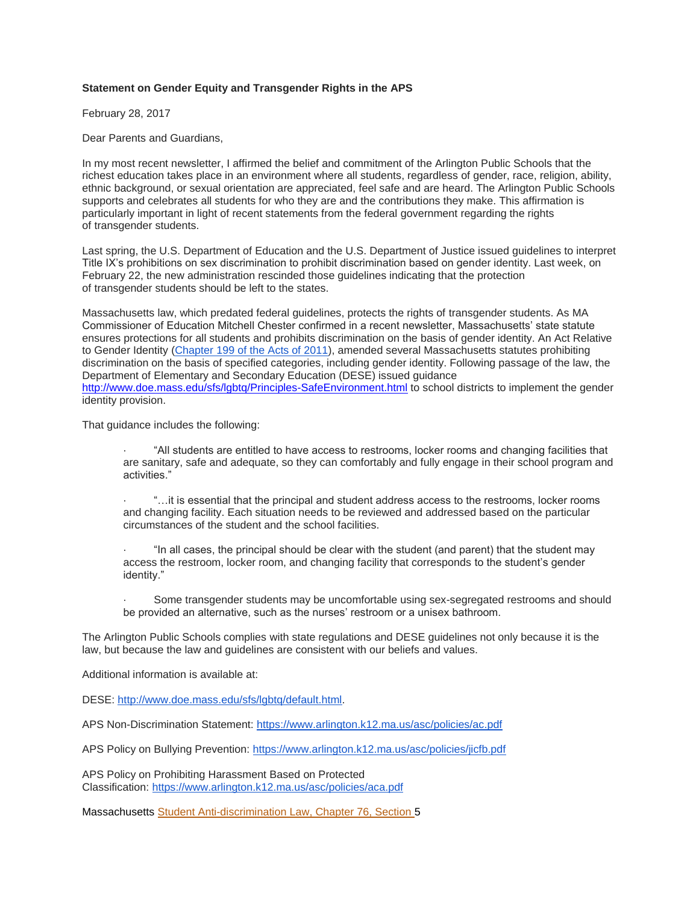## **Statement on Gender Equity and Transgender Rights in the APS**

February 28, 2017

Dear Parents and Guardians,

In my most recent newsletter, I affirmed the belief and commitment of the Arlington Public Schools that the richest education takes place in an environment where all students, regardless of gender, race, religion, ability, ethnic background, or sexual orientation are appreciated, feel safe and are heard. The Arlington Public Schools supports and celebrates all students for who they are and the contributions they make. This affirmation is particularly important in light of recent statements from the federal government regarding the rights of transgender students.

Last spring, the U.S. Department of Education and the U.S. Department of Justice issued guidelines to interpret Title IX's prohibitions on sex discrimination to prohibit discrimination based on gender identity. Last week, on February 22, the new administration rescinded those guidelines indicating that the protection of transgender students should be left to the states.

Massachusetts law, which predated federal guidelines, protects the rights of transgender students. As MA Commissioner of Education Mitchell Chester confirmed in a recent newsletter, Massachusetts' state statute ensures protections for all students and prohibits discrimination on the basis of gender identity. An Act Relative to Gender Identity [\(Chapter 199 of the Acts of 2011\)](https://malegislature.gov/Laws/SessionLaws/Acts/2011/Chapter199), amended several Massachusetts statutes prohibiting discrimination on the basis of specified categories, including gender identity. Following passage of the law, the Department of Elementary and Secondary Education (DESE) issued guidance <http://www.doe.mass.edu/sfs/lgbtq/Principles-SafeEnvironment.html> to school districts to implement the gender identity provision.

That guidance includes the following:

- · "All students are entitled to have access to restrooms, locker rooms and changing facilities that are sanitary, safe and adequate, so they can comfortably and fully engage in their school program and activities."
- · "…it is essential that the principal and student address access to the restrooms, locker rooms and changing facility. Each situation needs to be reviewed and addressed based on the particular circumstances of the student and the school facilities.
- · "In all cases, the principal should be clear with the student (and parent) that the student may access the restroom, locker room, and changing facility that corresponds to the student's gender identity."
- · Some transgender students may be uncomfortable using sex-segregated restrooms and should be provided an alternative, such as the nurses' restroom or a unisex bathroom.

The Arlington Public Schools complies with state regulations and DESE guidelines not only because it is the law, but because the law and guidelines are consistent with our beliefs and values.

Additional information is available at:

DESE: [http://www.doe.mass.edu/sfs/lgbtq/default.html.](http://www.doe.mass.edu/sfs/lgbtq/default.html)

APS Non-Discrimination Statement: <https://www.arlington.k12.ma.us/asc/policies/ac.pdf>

APS Policy on Bullying Prevention: <https://www.arlington.k12.ma.us/asc/policies/jicfb.pdf>

APS Policy on Prohibiting Harassment Based on Protected Classification: <https://www.arlington.k12.ma.us/asc/policies/aca.pdf>

Massachusetts [Student Anti-discrimination Law, Chapter 76, Section](https://malegislature.gov/Laws/GeneralLaws/PartI/TitleXII/Chapter76/Section5) 5